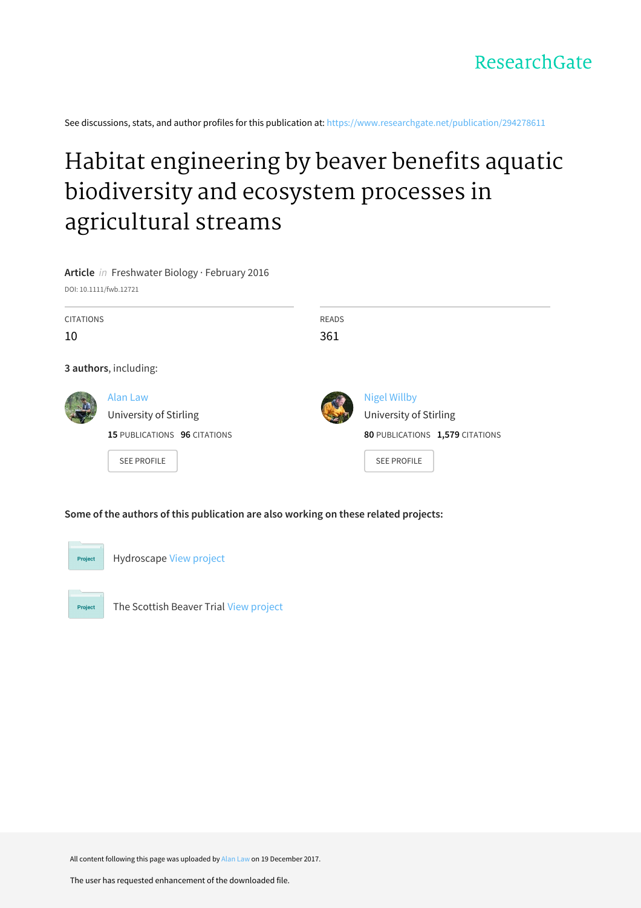See discussions, stats, and author profiles for this publication at: [https://www.researchgate.net/publication/294278611](https://www.researchgate.net/publication/294278611_Habitat_engineering_by_beaver_benefits_aquatic_biodiversity_and_ecosystem_processes_in_agricultural_streams?enrichId=rgreq-a33c6b05136d5b1194b25c2962315fde-XXX&enrichSource=Y292ZXJQYWdlOzI5NDI3ODYxMTtBUzo1NzMyNTY0MDQ2NzI1MTJAMTUxMzY4NjM4NTI5Ng%3D%3D&el=1_x_2&_esc=publicationCoverPdf)

# Habitat [engineering](https://www.researchgate.net/publication/294278611_Habitat_engineering_by_beaver_benefits_aquatic_biodiversity_and_ecosystem_processes_in_agricultural_streams?enrichId=rgreq-a33c6b05136d5b1194b25c2962315fde-XXX&enrichSource=Y292ZXJQYWdlOzI5NDI3ODYxMTtBUzo1NzMyNTY0MDQ2NzI1MTJAMTUxMzY4NjM4NTI5Ng%3D%3D&el=1_x_3&_esc=publicationCoverPdf) by beaver benefits aquatic biodiversity and ecosystem processes in agricultural streams

**Article** in Freshwater Biology · February 2016

DOI: 10.1111/fwb.12721

| <b>CITATIONS</b> |                                                    | <b>READS</b>                                          |  |
|------------------|----------------------------------------------------|-------------------------------------------------------|--|
| 10               |                                                    | 361                                                   |  |
|                  | 3 authors, including:                              |                                                       |  |
|                  | Alan Law<br>University of Stirling                 | <b>Nigel Willby</b><br>University of Stirling         |  |
|                  | 15 PUBLICATIONS 96 CITATIONS<br><b>SEE PROFILE</b> | 80 PUBLICATIONS 1,579 CITATIONS<br><b>SEE PROFILE</b> |  |

# **Some of the authors of this publication are also working on these related projects:**



Hydroscape View [project](https://www.researchgate.net/project/Hydroscape-2?enrichId=rgreq-a33c6b05136d5b1194b25c2962315fde-XXX&enrichSource=Y292ZXJQYWdlOzI5NDI3ODYxMTtBUzo1NzMyNTY0MDQ2NzI1MTJAMTUxMzY4NjM4NTI5Ng%3D%3D&el=1_x_9&_esc=publicationCoverPdf)

The Scottish Beaver Trial View [project](https://www.researchgate.net/project/The-Scottish-Beaver-Trial?enrichId=rgreq-a33c6b05136d5b1194b25c2962315fde-XXX&enrichSource=Y292ZXJQYWdlOzI5NDI3ODYxMTtBUzo1NzMyNTY0MDQ2NzI1MTJAMTUxMzY4NjM4NTI5Ng%3D%3D&el=1_x_9&_esc=publicationCoverPdf)

All content following this page was uploaded by [Alan](https://www.researchgate.net/profile/Alan_Law5?enrichId=rgreq-a33c6b05136d5b1194b25c2962315fde-XXX&enrichSource=Y292ZXJQYWdlOzI5NDI3ODYxMTtBUzo1NzMyNTY0MDQ2NzI1MTJAMTUxMzY4NjM4NTI5Ng%3D%3D&el=1_x_10&_esc=publicationCoverPdf) Law on 19 December 2017.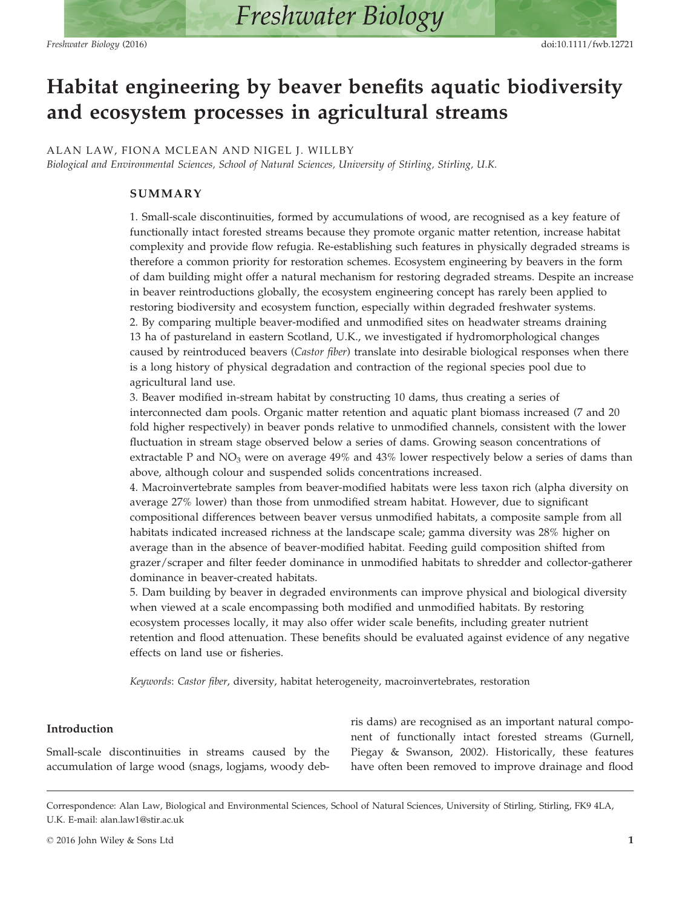# Habitat engineering by beaver benefits aquatic biodiversity and ecosystem processes in agricultural streams

ALAN LAW, FIONA MCLEAN AND NIGEL J. WILLBY

Biological and Environmental Sciences, School of Natural Sciences, University of Stirling, Stirling, U.K.

# SUMMARY

1. Small-scale discontinuities, formed by accumulations of wood, are recognised as a key feature of functionally intact forested streams because they promote organic matter retention, increase habitat complexity and provide flow refugia. Re-establishing such features in physically degraded streams is therefore a common priority for restoration schemes. Ecosystem engineering by beavers in the form of dam building might offer a natural mechanism for restoring degraded streams. Despite an increase in beaver reintroductions globally, the ecosystem engineering concept has rarely been applied to restoring biodiversity and ecosystem function, especially within degraded freshwater systems. 2. By comparing multiple beaver-modified and unmodified sites on headwater streams draining 13 ha of pastureland in eastern Scotland, U.K., we investigated if hydromorphological changes caused by reintroduced beavers (Castor fiber) translate into desirable biological responses when there is a long history of physical degradation and contraction of the regional species pool due to agricultural land use.

3. Beaver modified in-stream habitat by constructing 10 dams, thus creating a series of interconnected dam pools. Organic matter retention and aquatic plant biomass increased (7 and 20 fold higher respectively) in beaver ponds relative to unmodified channels, consistent with the lower fluctuation in stream stage observed below a series of dams. Growing season concentrations of extractable P and  $NO<sub>3</sub>$  were on average 49% and 43% lower respectively below a series of dams than above, although colour and suspended solids concentrations increased.

4. Macroinvertebrate samples from beaver-modified habitats were less taxon rich (alpha diversity on average 27% lower) than those from unmodified stream habitat. However, due to significant compositional differences between beaver versus unmodified habitats, a composite sample from all habitats indicated increased richness at the landscape scale; gamma diversity was 28% higher on average than in the absence of beaver-modified habitat. Feeding guild composition shifted from grazer/scraper and filter feeder dominance in unmodified habitats to shredder and collector-gatherer dominance in beaver-created habitats.

5. Dam building by beaver in degraded environments can improve physical and biological diversity when viewed at a scale encompassing both modified and unmodified habitats. By restoring ecosystem processes locally, it may also offer wider scale benefits, including greater nutrient retention and flood attenuation. These benefits should be evaluated against evidence of any negative effects on land use or fisheries.

Keywords: Castor fiber, diversity, habitat heterogeneity, macroinvertebrates, restoration

#### Introduction

Small-scale discontinuities in streams caused by the accumulation of large wood (snags, logjams, woody debris dams) are recognised as an important natural component of functionally intact forested streams (Gurnell, Piegay & Swanson, 2002). Historically, these features have often been removed to improve drainage and flood

Correspondence: Alan Law, Biological and Environmental Sciences, School of Natural Sciences, University of Stirling, Stirling, FK9 4LA, U.K. E-mail: alan.law1@stir.ac.uk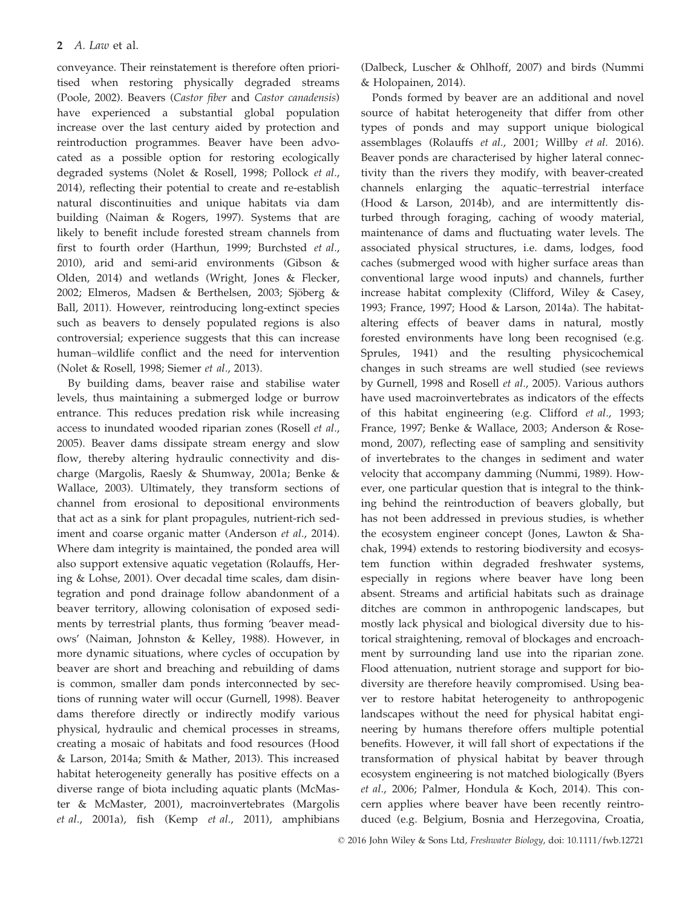conveyance. Their reinstatement is therefore often prioritised when restoring physically degraded streams (Poole, 2002). Beavers (Castor fiber and Castor canadensis) have experienced a substantial global population increase over the last century aided by protection and reintroduction programmes. Beaver have been advocated as a possible option for restoring ecologically degraded systems (Nolet & Rosell, 1998; Pollock et al., 2014), reflecting their potential to create and re-establish natural discontinuities and unique habitats via dam building (Naiman & Rogers, 1997). Systems that are likely to benefit include forested stream channels from first to fourth order (Harthun, 1999; Burchsted et al., 2010), arid and semi-arid environments (Gibson & Olden, 2014) and wetlands (Wright, Jones & Flecker, 2002; Elmeros, Madsen & Berthelsen, 2003; Sjoberg & € Ball, 2011). However, reintroducing long-extinct species such as beavers to densely populated regions is also controversial; experience suggests that this can increase human–wildlife conflict and the need for intervention (Nolet & Rosell, 1998; Siemer et al., 2013).

By building dams, beaver raise and stabilise water levels, thus maintaining a submerged lodge or burrow entrance. This reduces predation risk while increasing access to inundated wooded riparian zones (Rosell et al., 2005). Beaver dams dissipate stream energy and slow flow, thereby altering hydraulic connectivity and discharge (Margolis, Raesly & Shumway, 2001a; Benke & Wallace, 2003). Ultimately, they transform sections of channel from erosional to depositional environments that act as a sink for plant propagules, nutrient-rich sediment and coarse organic matter (Anderson et al., 2014). Where dam integrity is maintained, the ponded area will also support extensive aquatic vegetation (Rolauffs, Hering & Lohse, 2001). Over decadal time scales, dam disintegration and pond drainage follow abandonment of a beaver territory, allowing colonisation of exposed sediments by terrestrial plants, thus forming 'beaver meadows' (Naiman, Johnston & Kelley, 1988). However, in more dynamic situations, where cycles of occupation by beaver are short and breaching and rebuilding of dams is common, smaller dam ponds interconnected by sections of running water will occur (Gurnell, 1998). Beaver dams therefore directly or indirectly modify various physical, hydraulic and chemical processes in streams, creating a mosaic of habitats and food resources (Hood & Larson, 2014a; Smith & Mather, 2013). This increased habitat heterogeneity generally has positive effects on a diverse range of biota including aquatic plants (McMaster & McMaster, 2001), macroinvertebrates (Margolis et al., 2001a), fish (Kemp et al., 2011), amphibians

(Dalbeck, Luscher & Ohlhoff, 2007) and birds (Nummi & Holopainen, 2014).

Ponds formed by beaver are an additional and novel source of habitat heterogeneity that differ from other types of ponds and may support unique biological assemblages (Rolauffs et al., 2001; Willby et al. 2016). Beaver ponds are characterised by higher lateral connectivity than the rivers they modify, with beaver-created channels enlarging the aquatic–terrestrial interface (Hood & Larson, 2014b), and are intermittently disturbed through foraging, caching of woody material, maintenance of dams and fluctuating water levels. The associated physical structures, i.e. dams, lodges, food caches (submerged wood with higher surface areas than conventional large wood inputs) and channels, further increase habitat complexity (Clifford, Wiley & Casey, 1993; France, 1997; Hood & Larson, 2014a). The habitataltering effects of beaver dams in natural, mostly forested environments have long been recognised (e.g. Sprules, 1941) and the resulting physicochemical changes in such streams are well studied (see reviews by Gurnell, 1998 and Rosell et al., 2005). Various authors have used macroinvertebrates as indicators of the effects of this habitat engineering (e.g. Clifford et al., 1993; France, 1997; Benke & Wallace, 2003; Anderson & Rosemond, 2007), reflecting ease of sampling and sensitivity of invertebrates to the changes in sediment and water velocity that accompany damming (Nummi, 1989). However, one particular question that is integral to the thinking behind the reintroduction of beavers globally, but has not been addressed in previous studies, is whether the ecosystem engineer concept (Jones, Lawton & Shachak, 1994) extends to restoring biodiversity and ecosystem function within degraded freshwater systems, especially in regions where beaver have long been absent. Streams and artificial habitats such as drainage ditches are common in anthropogenic landscapes, but mostly lack physical and biological diversity due to historical straightening, removal of blockages and encroachment by surrounding land use into the riparian zone. Flood attenuation, nutrient storage and support for biodiversity are therefore heavily compromised. Using beaver to restore habitat heterogeneity to anthropogenic landscapes without the need for physical habitat engineering by humans therefore offers multiple potential benefits. However, it will fall short of expectations if the transformation of physical habitat by beaver through ecosystem engineering is not matched biologically (Byers et al., 2006; Palmer, Hondula & Koch, 2014). This concern applies where beaver have been recently reintroduced (e.g. Belgium, Bosnia and Herzegovina, Croatia,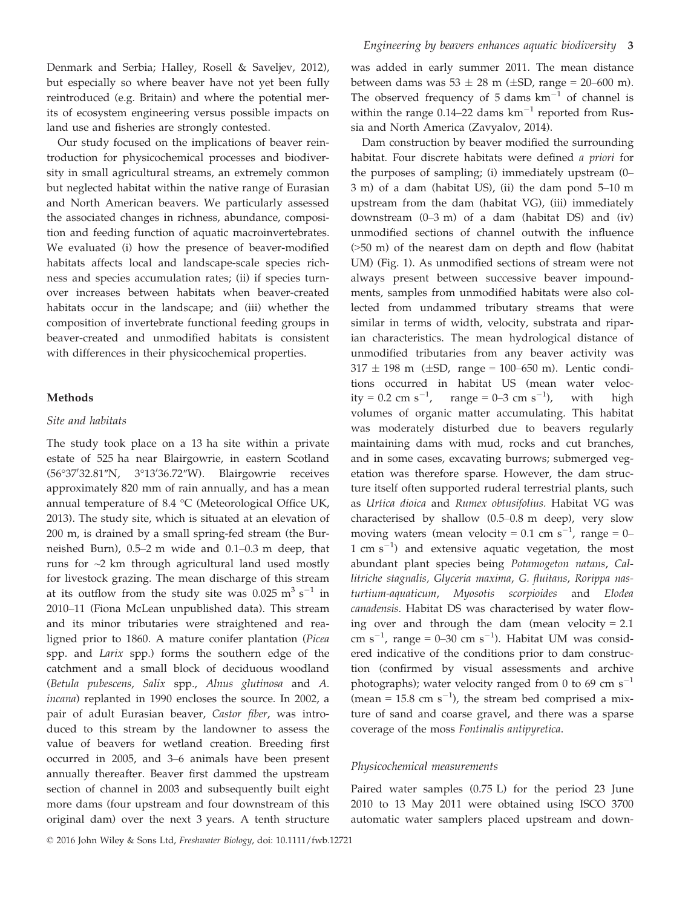Denmark and Serbia; Halley, Rosell & Saveljev, 2012), but especially so where beaver have not yet been fully reintroduced (e.g. Britain) and where the potential merits of ecosystem engineering versus possible impacts on land use and fisheries are strongly contested.

Our study focused on the implications of beaver reintroduction for physicochemical processes and biodiversity in small agricultural streams, an extremely common but neglected habitat within the native range of Eurasian and North American beavers. We particularly assessed the associated changes in richness, abundance, composition and feeding function of aquatic macroinvertebrates. We evaluated (i) how the presence of beaver-modified habitats affects local and landscape-scale species richness and species accumulation rates; (ii) if species turnover increases between habitats when beaver-created habitats occur in the landscape; and (iii) whether the composition of invertebrate functional feeding groups in beaver-created and unmodified habitats is consistent with differences in their physicochemical properties.

#### Methods

#### Site and habitats

The study took place on a 13 ha site within a private estate of 525 ha near Blairgowrie, in eastern Scotland (56°37′32.81″N, 3°13′36.72″W). Blairgowrie receives approximately 820 mm of rain annually, and has a mean annual temperature of 8.4 °C (Meteorological Office UK, 2013). The study site, which is situated at an elevation of 200 m, is drained by a small spring-fed stream (the Burneished Burn), 0.5–2 m wide and 0.1–0.3 m deep, that runs for ~2 km through agricultural land used mostly for livestock grazing. The mean discharge of this stream at its outflow from the study site was  $0.025 \text{ m}^3 \text{ s}^{-1}$  in 2010–11 (Fiona McLean unpublished data). This stream and its minor tributaries were straightened and realigned prior to 1860. A mature conifer plantation (Picea spp. and Larix spp.) forms the southern edge of the catchment and a small block of deciduous woodland (Betula pubescens, Salix spp., Alnus glutinosa and A. incana) replanted in 1990 encloses the source. In 2002, a pair of adult Eurasian beaver, Castor fiber, was introduced to this stream by the landowner to assess the value of beavers for wetland creation. Breeding first occurred in 2005, and 3–6 animals have been present annually thereafter. Beaver first dammed the upstream section of channel in 2003 and subsequently built eight more dams (four upstream and four downstream of this original dam) over the next 3 years. A tenth structure was added in early summer 2011. The mean distance between dams was  $53 \pm 28$  m ( $\pm$ SD, range = 20–600 m). The observed frequency of 5 dams  $km^{-1}$  of channel is within the range  $0.14-22$  dams  $km^{-1}$  reported from Russia and North America (Zavyalov, 2014).

Dam construction by beaver modified the surrounding habitat. Four discrete habitats were defined a priori for the purposes of sampling; (i) immediately upstream (0– 3 m) of a dam (habitat US), (ii) the dam pond 5–10 m upstream from the dam (habitat VG), (iii) immediately downstream (0–3 m) of a dam (habitat DS) and (iv) unmodified sections of channel outwith the influence (>50 m) of the nearest dam on depth and flow (habitat UM) (Fig. 1). As unmodified sections of stream were not always present between successive beaver impoundments, samples from unmodified habitats were also collected from undammed tributary streams that were similar in terms of width, velocity, substrata and riparian characteristics. The mean hydrological distance of unmodified tributaries from any beaver activity was  $317 \pm 198$  m ( $\pm$ SD, range = 100–650 m). Lentic conditions occurred in habitat US (mean water velocity = 0.2 cm s<sup>-1</sup>, range = 0-3 cm s<sup>-1</sup> with high volumes of organic matter accumulating. This habitat was moderately disturbed due to beavers regularly maintaining dams with mud, rocks and cut branches, and in some cases, excavating burrows; submerged vegetation was therefore sparse. However, the dam structure itself often supported ruderal terrestrial plants, such as Urtica dioica and Rumex obtusifolius. Habitat VG was characterised by shallow (0.5–0.8 m deep), very slow moving waters (mean velocity =  $0.1 \text{ cm s}^{-1}$ , range =  $0$ -1 cm  $s^{-1}$ ) and extensive aquatic vegetation, the most abundant plant species being Potamogeton natans, Callitriche stagnalis, Glyceria maxima, G. fluitans, Rorippa nasturtium-aquaticum, Myosotis scorpioides and Elodea canadensis. Habitat DS was characterised by water flowing over and through the dam (mean velocity  $= 2.1$ ) cm  $s^{-1}$ , range = 0–30 cm  $s^{-1}$ ). Habitat UM was considered indicative of the conditions prior to dam construction (confirmed by visual assessments and archive photographs); water velocity ranged from 0 to 69 cm  $s^{-1}$ (mean =  $15.8 \text{ cm s}^{-1}$ ), the stream bed comprised a mixture of sand and coarse gravel, and there was a sparse coverage of the moss Fontinalis antipyretica.

#### Physicochemical measurements

Paired water samples (0.75 L) for the period 23 June 2010 to 13 May 2011 were obtained using ISCO 3700 automatic water samplers placed upstream and down-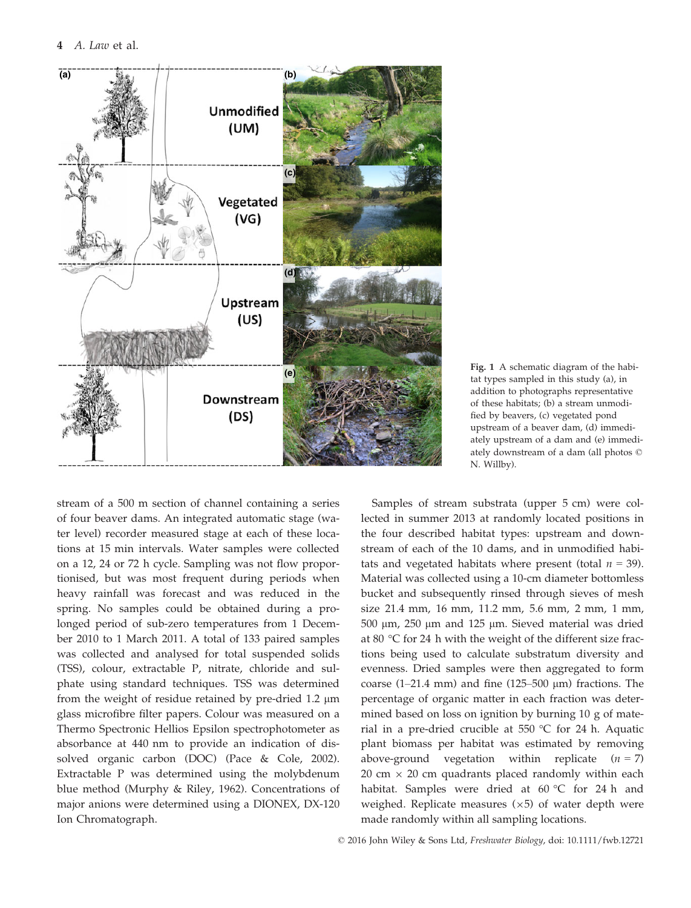

tat types sampled in this study (a), in addition to photographs representative of these habitats; (b) a stream unmodified by beavers, (c) vegetated pond upstream of a beaver dam, (d) immediately upstream of a dam and (e) immediately downstream of a dam (all photos © N. Willby).

stream of a 500 m section of channel containing a series of four beaver dams. An integrated automatic stage (water level) recorder measured stage at each of these locations at 15 min intervals. Water samples were collected on a 12, 24 or 72 h cycle. Sampling was not flow proportionised, but was most frequent during periods when heavy rainfall was forecast and was reduced in the spring. No samples could be obtained during a prolonged period of sub-zero temperatures from 1 December 2010 to 1 March 2011. A total of 133 paired samples was collected and analysed for total suspended solids (TSS), colour, extractable P, nitrate, chloride and sulphate using standard techniques. TSS was determined from the weight of residue retained by pre-dried  $1.2 \mu m$ glass microfibre filter papers. Colour was measured on a Thermo Spectronic Hellios Epsilon spectrophotometer as absorbance at 440 nm to provide an indication of dissolved organic carbon (DOC) (Pace & Cole, 2002). Extractable P was determined using the molybdenum blue method (Murphy & Riley, 1962). Concentrations of major anions were determined using a DIONEX, DX-120 Ion Chromatograph.

Samples of stream substrata (upper 5 cm) were collected in summer 2013 at randomly located positions in the four described habitat types: upstream and downstream of each of the 10 dams, and in unmodified habitats and vegetated habitats where present (total  $n = 39$ ). Material was collected using a 10-cm diameter bottomless bucket and subsequently rinsed through sieves of mesh size 21.4 mm, 16 mm, 11.2 mm, 5.6 mm, 2 mm, 1 mm,  $500 \mu m$ ,  $250 \mu m$  and  $125 \mu m$ . Sieved material was dried at 80 °C for 24 h with the weight of the different size fractions being used to calculate substratum diversity and evenness. Dried samples were then aggregated to form coarse (1–21.4 mm) and fine (125–500  $\mu$ m) fractions. The percentage of organic matter in each fraction was determined based on loss on ignition by burning 10 g of material in a pre-dried crucible at 550 °C for 24 h. Aquatic plant biomass per habitat was estimated by removing above-ground vegetation within replicate  $(n = 7)$ 20 cm  $\times$  20 cm quadrants placed randomly within each habitat. Samples were dried at 60 °C for 24 h and weighed. Replicate measures  $(x5)$  of water depth were made randomly within all sampling locations.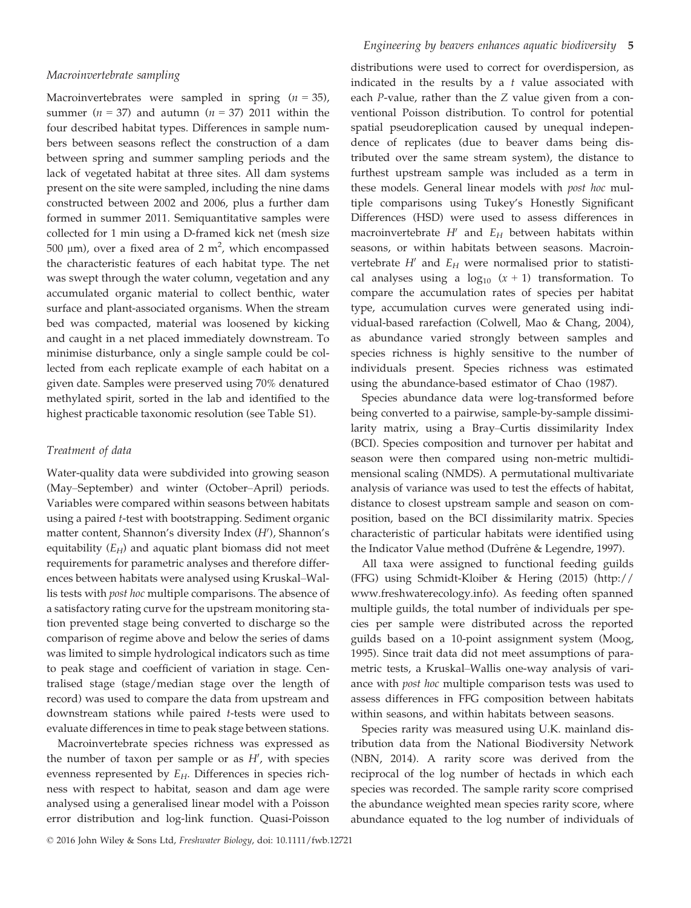Macroinvertebrates were sampled in spring  $(n = 35)$ , summer ( $n = 37$ ) and autumn ( $n = 37$ ) 2011 within the four described habitat types. Differences in sample numbers between seasons reflect the construction of a dam between spring and summer sampling periods and the lack of vegetated habitat at three sites. All dam systems present on the site were sampled, including the nine dams constructed between 2002 and 2006, plus a further dam formed in summer 2011. Semiquantitative samples were collected for 1 min using a D-framed kick net (mesh size 500  $\mu$ m), over a fixed area of 2 m<sup>2</sup>, which encompassed the characteristic features of each habitat type. The net was swept through the water column, vegetation and any accumulated organic material to collect benthic, water surface and plant-associated organisms. When the stream bed was compacted, material was loosened by kicking and caught in a net placed immediately downstream. To minimise disturbance, only a single sample could be collected from each replicate example of each habitat on a given date. Samples were preserved using 70% denatured methylated spirit, sorted in the lab and identified to the highest practicable taxonomic resolution (see Table S1).

#### Treatment of data

Water-quality data were subdivided into growing season (May–September) and winter (October–April) periods. Variables were compared within seasons between habitats using a paired t-test with bootstrapping. Sediment organic matter content, Shannon's diversity Index (H'), Shannon's equitability  $(E_H)$  and aquatic plant biomass did not meet requirements for parametric analyses and therefore differences between habitats were analysed using Kruskal–Wallis tests with post hoc multiple comparisons. The absence of a satisfactory rating curve for the upstream monitoring station prevented stage being converted to discharge so the comparison of regime above and below the series of dams was limited to simple hydrological indicators such as time to peak stage and coefficient of variation in stage. Centralised stage (stage/median stage over the length of record) was used to compare the data from upstream and downstream stations while paired t-tests were used to evaluate differences in time to peak stage between stations.

Macroinvertebrate species richness was expressed as the number of taxon per sample or as  $H'$ , with species evenness represented by  $E_H$ . Differences in species richness with respect to habitat, season and dam age were analysed using a generalised linear model with a Poisson error distribution and log-link function. Quasi-Poisson

© 2016 John Wiley & Sons Ltd, Freshwater Biology, doi: 10.1111/fwb.12721

distributions were used to correct for overdispersion, as indicated in the results by a  $t$  value associated with each P-value, rather than the Z value given from a conventional Poisson distribution. To control for potential spatial pseudoreplication caused by unequal independence of replicates (due to beaver dams being distributed over the same stream system), the distance to furthest upstream sample was included as a term in these models. General linear models with post hoc multiple comparisons using Tukey's Honestly Significant Differences (HSD) were used to assess differences in macroinvertebrate  $H'$  and  $E_H$  between habitats within seasons, or within habitats between seasons. Macroinvertebrate  $H'$  and  $E_H$  were normalised prior to statistical analyses using a  $log_{10}$   $(x + 1)$  transformation. To compare the accumulation rates of species per habitat type, accumulation curves were generated using individual-based rarefaction (Colwell, Mao & Chang, 2004), as abundance varied strongly between samples and species richness is highly sensitive to the number of individuals present. Species richness was estimated using the abundance-based estimator of Chao (1987).

Species abundance data were log-transformed before being converted to a pairwise, sample-by-sample dissimilarity matrix, using a Bray–Curtis dissimilarity Index (BCI). Species composition and turnover per habitat and season were then compared using non-metric multidimensional scaling (NMDS). A permutational multivariate analysis of variance was used to test the effects of habitat, distance to closest upstream sample and season on composition, based on the BCI dissimilarity matrix. Species characteristic of particular habitats were identified using the Indicator Value method (Dufrêne & Legendre, 1997).

All taxa were assigned to functional feeding guilds (FFG) using Schmidt-Kloiber & Hering (2015) [\(http://](http://www.freshwaterecology.info) [www.freshwaterecology.info\)](http://www.freshwaterecology.info). As feeding often spanned multiple guilds, the total number of individuals per species per sample were distributed across the reported guilds based on a 10-point assignment system (Moog, 1995). Since trait data did not meet assumptions of parametric tests, a Kruskal–Wallis one-way analysis of variance with *post hoc* multiple comparison tests was used to assess differences in FFG composition between habitats within seasons, and within habitats between seasons.

Species rarity was measured using U.K. mainland distribution data from the National Biodiversity Network (NBN, 2014). A rarity score was derived from the reciprocal of the log number of hectads in which each species was recorded. The sample rarity score comprised the abundance weighted mean species rarity score, where abundance equated to the log number of individuals of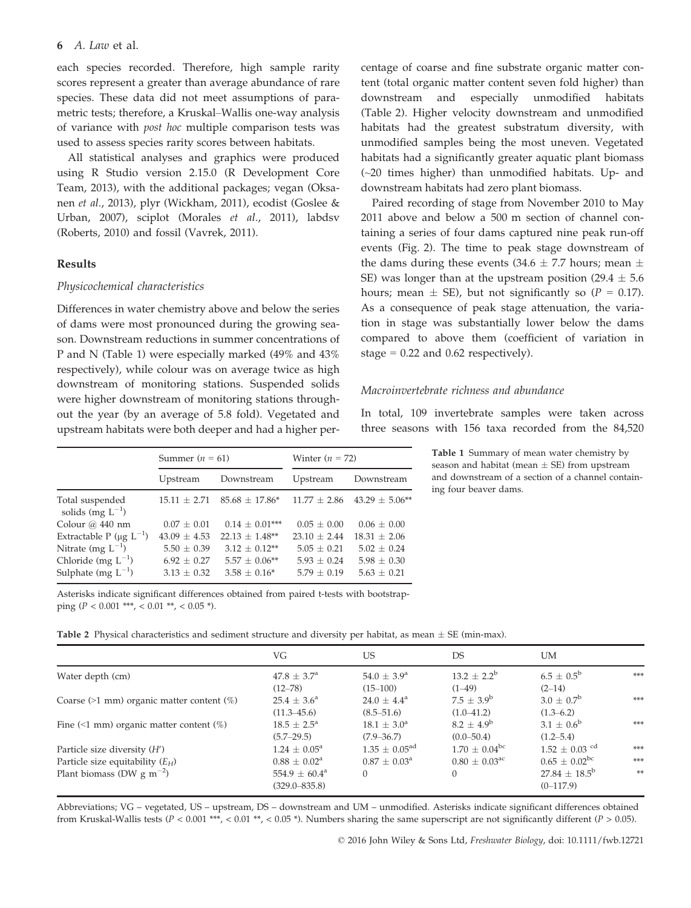# 6 A. Law et al.

each species recorded. Therefore, high sample rarity scores represent a greater than average abundance of rare species. These data did not meet assumptions of parametric tests; therefore, a Kruskal–Wallis one-way analysis of variance with post hoc multiple comparison tests was used to assess species rarity scores between habitats.

All statistical analyses and graphics were produced using R Studio version 2.15.0 (R Development Core Team, 2013), with the additional packages; vegan (Oksanen et al., 2013), plyr (Wickham, 2011), ecodist (Goslee & Urban, 2007), sciplot (Morales et al., 2011), labdsv (Roberts, 2010) and fossil (Vavrek, 2011).

#### Results

### Physicochemical characteristics

Differences in water chemistry above and below the series of dams were most pronounced during the growing season. Downstream reductions in summer concentrations of P and N (Table 1) were especially marked (49% and 43% respectively), while colour was on average twice as high downstream of monitoring stations. Suspended solids were higher downstream of monitoring stations throughout the year (by an average of 5.8 fold). Vegetated and upstream habitats were both deeper and had a higher percentage of coarse and fine substrate organic matter content (total organic matter content seven fold higher) than downstream and especially unmodified habitats (Table 2). Higher velocity downstream and unmodified habitats had the greatest substratum diversity, with unmodified samples being the most uneven. Vegetated habitats had a significantly greater aquatic plant biomass (~20 times higher) than unmodified habitats. Up- and downstream habitats had zero plant biomass.

Paired recording of stage from November 2010 to May 2011 above and below a 500 m section of channel containing a series of four dams captured nine peak run-off events (Fig. 2). The time to peak stage downstream of the dams during these events  $(34.6 \pm 7.7 \text{ hours})$ ; mean  $\pm$ SE) was longer than at the upstream position  $(29.4 \pm 5.6$ hours; mean  $\pm$  SE), but not significantly so (P = 0.17). As a consequence of peak stage attenuation, the variation in stage was substantially lower below the dams compared to above them (coefficient of variation in stage  $= 0.22$  and 0.62 respectively).

#### Macroinvertebrate richness and abundance

In total, 109 invertebrate samples were taken across three seasons with 156 taxa recorded from the 84,520

|                                           | Summer $(n = 61)$ |                     | Winter $(n = 72)$ |                    |  |
|-------------------------------------------|-------------------|---------------------|-------------------|--------------------|--|
|                                           | Upstream          | Downstream          | Upstream          | Downstream         |  |
| Total suspended<br>solids (mg $L^{-1}$ )  | $15.11 \pm 2.71$  | $85.68 \pm 17.86^*$ | $11.77 \pm 2.86$  | $43.29 \pm 5.06**$ |  |
| Colour $(a)$ 440 nm                       | $0.07 + 0.01$     | $0.14 \pm 0.01***$  | $0.05 + 0.00$     | $0.06 \pm 0.00$    |  |
| Extractable P ( $\mu$ g L <sup>-1</sup> ) | $43.09 + 4.53$    | $22.13 \pm 1.48**$  | $23.10 \pm 2.44$  | $18.31 + 2.06$     |  |
| Nitrate (mg $L^{-1}$ )                    | $5.50 \pm 0.39$   | $3.12 + 0.12**$     | $5.05 + 0.21$     | $5.02 + 0.24$      |  |
| Chloride (mg $L^{-1}$ )                   | $6.92 + 0.27$     | $5.57 \pm 0.06**$   | $5.93 + 0.24$     | $5.98 + 0.30$      |  |
| Sulphate (mg $L^{-1}$ )                   | $3.13 + 0.32$     | $3.58 \pm 0.16^*$   | $5.79 + 0.19$     | $5.63 \pm 0.21$    |  |

Table 1 Summary of mean water chemistry by season and habitat (mean  $\pm$  SE) from upstream and downstream of a section of a channel containing four beaver dams.

Asterisks indicate significant differences obtained from paired t-tests with bootstrapping ( $P < 0.001$  \*\*\*,  $< 0.01$  \*\*,  $< 0.05$  \*).

| Table 2 Physical characteristics and sediment structure and diversity per habitat, as mean $\pm$ SE (min-max). |  |
|----------------------------------------------------------------------------------------------------------------|--|
|----------------------------------------------------------------------------------------------------------------|--|

|                                              | VG                         | US.                         | <b>DS</b>                     | <b>UM</b>                     |       |
|----------------------------------------------|----------------------------|-----------------------------|-------------------------------|-------------------------------|-------|
| Water depth (cm)                             | $47.8 \pm 3.7^{\circ}$     | $54.0 \pm 3.9^{\rm a}$      | $13.2 + 2.2^b$                | $6.5 \pm 0.5^{\rm b}$         | ***   |
|                                              | (12–78)                    | $(15 - 100)$                | $(1-49)$                      | $(2-14)$                      |       |
| Coarse ( $>1$ mm) organic matter content (%) | $25.4 \pm 3.6^{\circ}$     | $24.0 \pm 4.4^{\circ}$      | $7.5 \pm 3.9^{\rm b}$         | $3.0 \pm 0.7^{\rm b}$         | ***   |
|                                              | $(11.3 - 45.6)$            | $(8.5 - 51.6)$              | $(1.0 - 41.2)$                | $(1.3 - 6.2)$                 |       |
| Fine $($ 1 mm) organic matter content $(\%)$ | $18.5 \pm 2.5^{\circ}$     | $18.1 \pm 3.0^{\circ}$      | $8.2 \pm 4.9^{\rm b}$         | $3.1 \pm 0.6^{\circ}$         | $***$ |
|                                              | $(5.7 - 29.5)$             | $(7.9 - 36.7)$              | $(0.0 - 50.4)$                | $(1.2 - 5.4)$                 |       |
| Particle size diversity $(H')$               | $1.24 \pm 0.05^{\text{a}}$ | $1.35 \pm 0.05^{\text{ad}}$ | $1.70 \pm 0.04^{\rm bc}$      | $1.52 \pm 0.03$ <sup>cd</sup> | $***$ |
| Particle size equitability $(E_H)$           | $0.88 \pm 0.02^{\rm a}$    | $0.87 \pm 0.03^{\rm a}$     | $0.80 \pm 0.03$ <sup>ac</sup> | $0.65 \pm 0.02^{\rm bc}$      | ***   |
| Plant biomass (DW $\rm g$ m <sup>-2</sup> )  | $554.9 \pm 60.4^{\circ}$   | $\Omega$                    | $\theta$                      | $27.84 \pm 18.5^{\rm b}$      | $**$  |
|                                              | $(329.0 - 835.8)$          |                             |                               | $(0-117.9)$                   |       |

Abbreviations; VG – vegetated, US – upstream, DS – downstream and UM – unmodified. Asterisks indicate significant differences obtained from Kruskal-Wallis tests ( $P < 0.001$  \*\*\*,  $< 0.01$  \*\*,  $< 0.05$  \*). Numbers sharing the same superscript are not significantly different ( $P > 0.05$ ).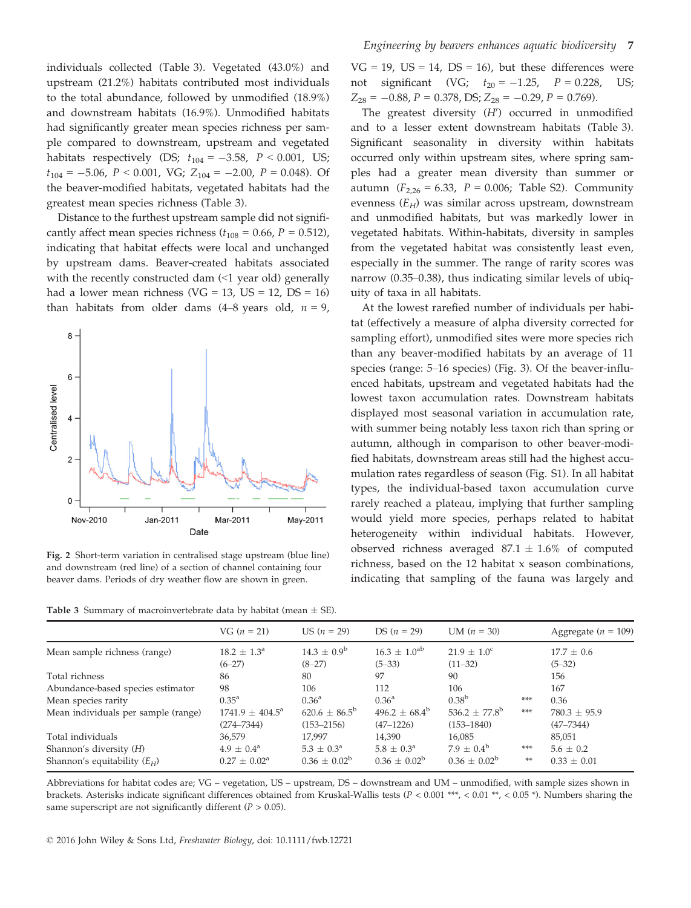individuals collected (Table 3). Vegetated (43.0%) and upstream (21.2%) habitats contributed most individuals to the total abundance, followed by unmodified (18.9%) and downstream habitats (16.9%). Unmodified habitats had significantly greater mean species richness per sample compared to downstream, upstream and vegetated habitats respectively (DS;  $t_{104} = -3.58$ ,  $P < 0.001$ , US;  $t_{104} = -5.06, P < 0.001, \text{ VG}; Z_{104} = -2.00, P = 0.048.$  Of the beaver-modified habitats, vegetated habitats had the greatest mean species richness (Table 3).

Distance to the furthest upstream sample did not significantly affect mean species richness ( $t_{108} = 0.66$ ,  $P = 0.512$ ), indicating that habitat effects were local and unchanged by upstream dams. Beaver-created habitats associated with the recently constructed dam (<1 year old) generally had a lower mean richness (VG = 13, US = 12, DS = 16) than habitats from older dams  $(4-8 \text{ years} \text{ old}, n = 9)$ ,



Fig. 2 Short-term variation in centralised stage upstream (blue line) and downstream (red line) of a section of channel containing four beaver dams. Periods of dry weather flow are shown in green.

Table 3 Summary of macroinvertebrate data by habitat (mean  $\pm$  SE).

 $VG = 19$ ,  $US = 14$ ,  $DS = 16$ ), but these differences were not significant (VG;  $t_{20} = -1.25$ ,  $P = 0.228$ , US;  $Z_{28} = -0.88, P = 0.378, DS; Z_{28} = -0.29, P = 0.769.$ 

The greatest diversity  $(H')$  occurred in unmodified and to a lesser extent downstream habitats (Table 3). Significant seasonality in diversity within habitats occurred only within upstream sites, where spring samples had a greater mean diversity than summer or autumn ( $F_{2,26} = 6.33$ ,  $P = 0.006$ ; Table S2). Community evenness  $(E_H)$  was similar across upstream, downstream and unmodified habitats, but was markedly lower in vegetated habitats. Within-habitats, diversity in samples from the vegetated habitat was consistently least even, especially in the summer. The range of rarity scores was narrow (0.35–0.38), thus indicating similar levels of ubiquity of taxa in all habitats.

At the lowest rarefied number of individuals per habitat (effectively a measure of alpha diversity corrected for sampling effort), unmodified sites were more species rich than any beaver-modified habitats by an average of 11 species (range: 5–16 species) (Fig. 3). Of the beaver-influenced habitats, upstream and vegetated habitats had the lowest taxon accumulation rates. Downstream habitats displayed most seasonal variation in accumulation rate, with summer being notably less taxon rich than spring or autumn, although in comparison to other beaver-modified habitats, downstream areas still had the highest accumulation rates regardless of season (Fig. S1). In all habitat types, the individual-based taxon accumulation curve rarely reached a plateau, implying that further sampling would yield more species, perhaps related to habitat heterogeneity within individual habitats. However, observed richness averaged  $87.1 \pm 1.6\%$  of computed richness, based on the 12 habitat x season combinations, indicating that sampling of the fauna was largely and

|                                                           | $VG (n = 21)$                                    | US $(n = 29)$                              | DS $(n = 29)$                              | UM $(n = 30)$                                    |             | Aggregate ( $n = 109$ )           |
|-----------------------------------------------------------|--------------------------------------------------|--------------------------------------------|--------------------------------------------|--------------------------------------------------|-------------|-----------------------------------|
| Mean sample richness (range)                              | $18.2 \pm 1.3^{\rm a}$<br>$(6 - 27)$             | $14.3 \pm 0.9^{\rm b}$<br>$(8-27)$         | $16.3 \pm 1.0^{ab}$<br>$(5-33)$            | $21.9 \pm 1.0^{\circ}$<br>$(11-32)$              |             | $17.7 \pm 0.6$<br>$(5-32)$        |
| Total richness<br>Abundance-based species estimator       | 86<br>98                                         | 80<br>106                                  | 97<br>112                                  | 90<br>106                                        |             | 156<br>167                        |
| Mean species rarity                                       | $0.35^{\rm a}$                                   | $0.36^{\rm a}$                             | 0.36 <sup>a</sup>                          | $0.38^{b}$                                       | ***         | 0.36                              |
| Mean individuals per sample (range)                       | $1741.9 \pm 404.5^{\circ}$<br>$(274 - 7344)$     | $620.6 \pm 86.5^{\circ}$<br>$(153 - 2156)$ | $496.2 \pm 68.4^{\circ}$<br>$(47-1226)$    | 536.2 $\pm$ 77.8 <sup>b</sup><br>$(153 - 1840)$  | ***         | $780.3 \pm 95.9$<br>$(47 - 7344)$ |
| Total individuals                                         | 36,579                                           | 17.997                                     | 14,390                                     | 16,085                                           |             | 85,051                            |
| Shannon's diversity (H)<br>Shannon's equitability $(E_H)$ | $4.9 \pm 0.4^{\rm a}$<br>$0.27 \pm 0.02^{\rm a}$ | $5.3 \pm 0.3^{\rm a}$<br>$0.36 \pm 0.02^b$ | $5.8 \pm 0.3^{\rm a}$<br>$0.36 \pm 0.02^b$ | $7.9 \pm 0.4^{\rm b}$<br>$0.36 \pm 0.02^{\rm b}$ | ***<br>$**$ | $5.6 \pm 0.2$<br>$0.33 \pm 0.01$  |
|                                                           |                                                  |                                            |                                            |                                                  |             |                                   |

Abbreviations for habitat codes are; VG – vegetation, US – upstream, DS – downstream and UM – unmodified, with sample sizes shown in brackets. Asterisks indicate significant differences obtained from Kruskal-Wallis tests ( $P < 0.001$  \*\*,  $< 0.01$  \*\*,  $< 0.05$  \*). Numbers sharing the same superscript are not significantly different ( $P > 0.05$ ).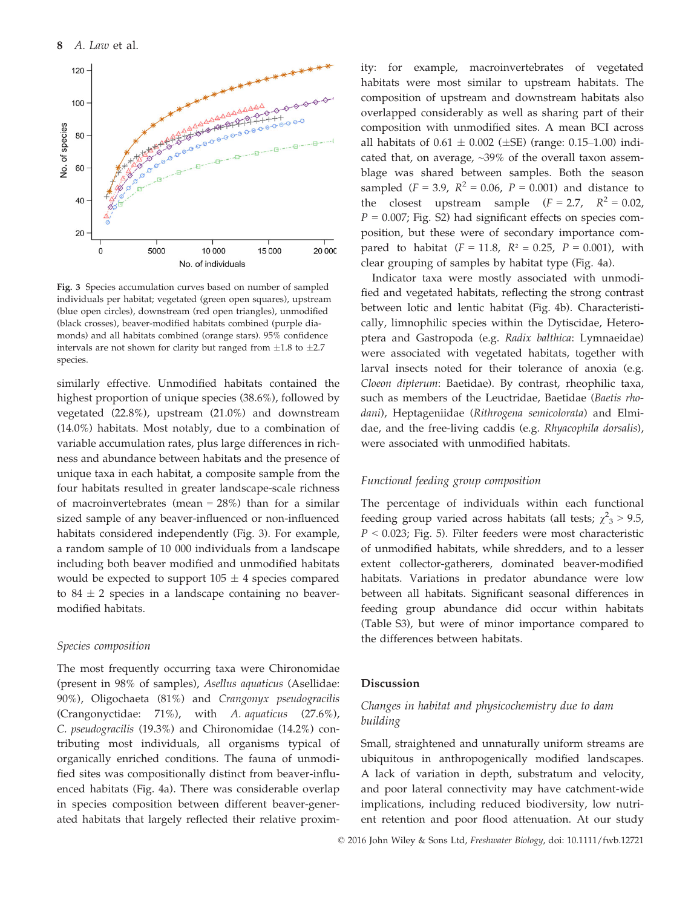

Fig. 3 Species accumulation curves based on number of sampled individuals per habitat; vegetated (green open squares), upstream (blue open circles), downstream (red open triangles), unmodified (black crosses), beaver-modified habitats combined (purple diamonds) and all habitats combined (orange stars). 95% confidence intervals are not shown for clarity but ranged from  $\pm 1.8$  to  $\pm 2.7$ species.

similarly effective. Unmodified habitats contained the highest proportion of unique species (38.6%), followed by vegetated (22.8%), upstream (21.0%) and downstream (14.0%) habitats. Most notably, due to a combination of variable accumulation rates, plus large differences in richness and abundance between habitats and the presence of unique taxa in each habitat, a composite sample from the four habitats resulted in greater landscape-scale richness of macroinvertebrates (mean =  $28\%$ ) than for a similar sized sample of any beaver-influenced or non-influenced habitats considered independently (Fig. 3). For example, a random sample of 10 000 individuals from a landscape including both beaver modified and unmodified habitats would be expected to support  $105 \pm 4$  species compared to  $84 \pm 2$  species in a landscape containing no beavermodified habitats.

#### Species composition

The most frequently occurring taxa were Chironomidae (present in 98% of samples), Asellus aquaticus (Asellidae: 90%), Oligochaeta (81%) and Crangonyx pseudogracilis (Crangonyctidae: 71%), with A. aquaticus (27.6%), C. pseudogracilis (19.3%) and Chironomidae (14.2%) contributing most individuals, all organisms typical of organically enriched conditions. The fauna of unmodified sites was compositionally distinct from beaver-influenced habitats (Fig. 4a). There was considerable overlap in species composition between different beaver-generated habitats that largely reflected their relative proximity: for example, macroinvertebrates of vegetated habitats were most similar to upstream habitats. The composition of upstream and downstream habitats also overlapped considerably as well as sharing part of their composition with unmodified sites. A mean BCI across all habitats of  $0.61 \pm 0.002$  ( $\pm$ SE) (range: 0.15–1.00) indicated that, on average,  $\sim$ 39% of the overall taxon assemblage was shared between samples. Both the season sampled ( $F = 3.9$ ,  $R^2 = 0.06$ ,  $P = 0.001$ ) and distance to the closest upstream sample  $(F = 2.7, R^2 = 0.02,$  $P = 0.007$ ; Fig. S2) had significant effects on species composition, but these were of secondary importance compared to habitat  $(F = 11.8, R^2 = 0.25, P = 0.001)$ , with clear grouping of samples by habitat type (Fig. 4a).

Indicator taxa were mostly associated with unmodified and vegetated habitats, reflecting the strong contrast between lotic and lentic habitat (Fig. 4b). Characteristically, limnophilic species within the Dytiscidae, Heteroptera and Gastropoda (e.g. Radix balthica: Lymnaeidae) were associated with vegetated habitats, together with larval insects noted for their tolerance of anoxia (e.g. Cloeon dipterum: Baetidae). By contrast, rheophilic taxa, such as members of the Leuctridae, Baetidae (Baetis rhodani), Heptageniidae (Rithrogena semicolorata) and Elmidae, and the free-living caddis (e.g. Rhyacophila dorsalis), were associated with unmodified habitats.

#### Functional feeding group composition

The percentage of individuals within each functional feeding group varied across habitats (all tests;  $\chi^2$ <sub>3</sub> > 9.5,  $P < 0.023$ ; Fig. 5). Filter feeders were most characteristic of unmodified habitats, while shredders, and to a lesser extent collector-gatherers, dominated beaver-modified habitats. Variations in predator abundance were low between all habitats. Significant seasonal differences in feeding group abundance did occur within habitats (Table S3), but were of minor importance compared to the differences between habitats.

#### Discussion

# Changes in habitat and physicochemistry due to dam building

Small, straightened and unnaturally uniform streams are ubiquitous in anthropogenically modified landscapes. A lack of variation in depth, substratum and velocity, and poor lateral connectivity may have catchment-wide implications, including reduced biodiversity, low nutrient retention and poor flood attenuation. At our study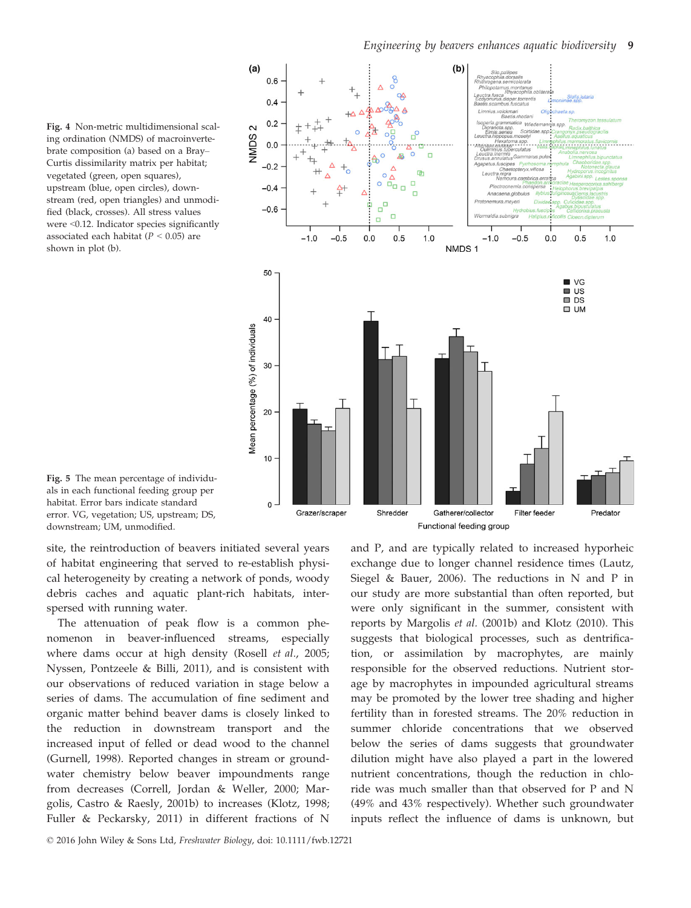Fig. 4 Non-metric multidimensional scaling ordination (NMDS) of macroinvertebrate composition (a) based on a Bray– Curtis dissimilarity matrix per habitat; vegetated (green, open squares), upstream (blue, open circles), downstream (red, open triangles) and unmodified (black, crosses). All stress values were <0.12. Indicator species significantly associated each habitat ( $P < 0.05$ ) are shown in plot (b).



Fig. 5 The mean percentage of individuals in each functional feeding group per habitat. Error bars indicate standard error. VG, vegetation; US, upstream; DS, downstream; UM, unmodified.

site, the reintroduction of beavers initiated several years of habitat engineering that served to re-establish physical heterogeneity by creating a network of ponds, woody debris caches and aquatic plant-rich habitats, interspersed with running water.

The attenuation of peak flow is a common phenomenon in beaver-influenced streams, especially where dams occur at high density (Rosell et al., 2005; Nyssen, Pontzeele & Billi, 2011), and is consistent with our observations of reduced variation in stage below a series of dams. The accumulation of fine sediment and organic matter behind beaver dams is closely linked to the reduction in downstream transport and the increased input of felled or dead wood to the channel (Gurnell, 1998). Reported changes in stream or groundwater chemistry below beaver impoundments range from decreases (Correll, Jordan & Weller, 2000; Margolis, Castro & Raesly, 2001b) to increases (Klotz, 1998; Fuller & Peckarsky, 2011) in different fractions of N

© 2016 John Wiley & Sons Ltd, Freshwater Biology, doi: 10.1111/fwb.12721

and P, and are typically related to increased hyporheic exchange due to longer channel residence times (Lautz, Siegel & Bauer, 2006). The reductions in N and P in our study are more substantial than often reported, but were only significant in the summer, consistent with reports by Margolis et al. (2001b) and Klotz (2010). This suggests that biological processes, such as dentrification, or assimilation by macrophytes, are mainly responsible for the observed reductions. Nutrient storage by macrophytes in impounded agricultural streams may be promoted by the lower tree shading and higher fertility than in forested streams. The 20% reduction in summer chloride concentrations that we observed below the series of dams suggests that groundwater dilution might have also played a part in the lowered nutrient concentrations, though the reduction in chloride was much smaller than that observed for P and N (49% and 43% respectively). Whether such groundwater inputs reflect the influence of dams is unknown, but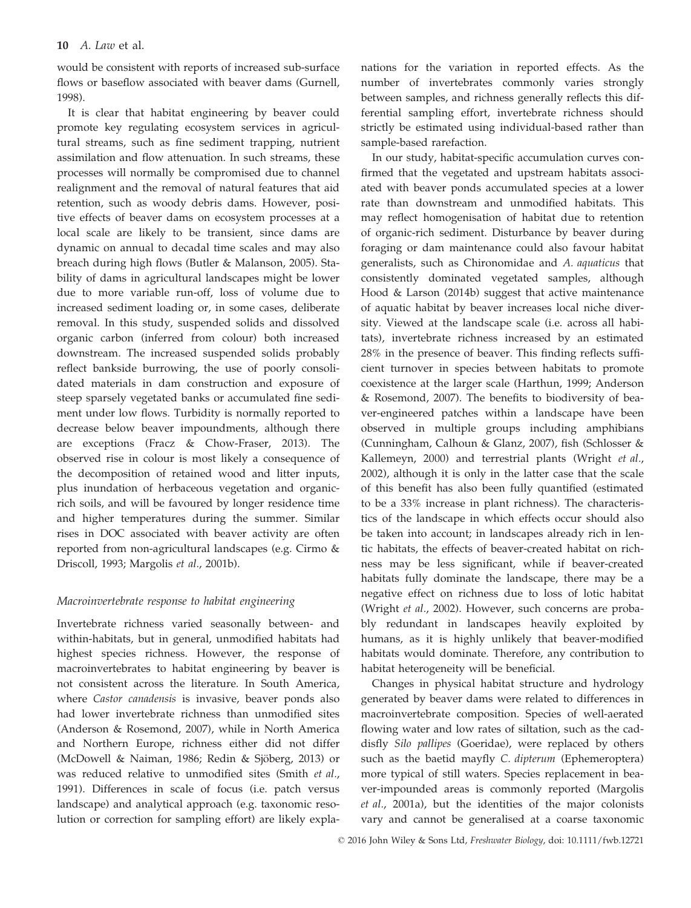would be consistent with reports of increased sub-surface flows or baseflow associated with beaver dams (Gurnell, 1998).

It is clear that habitat engineering by beaver could promote key regulating ecosystem services in agricultural streams, such as fine sediment trapping, nutrient assimilation and flow attenuation. In such streams, these processes will normally be compromised due to channel realignment and the removal of natural features that aid retention, such as woody debris dams. However, positive effects of beaver dams on ecosystem processes at a local scale are likely to be transient, since dams are dynamic on annual to decadal time scales and may also breach during high flows (Butler & Malanson, 2005). Stability of dams in agricultural landscapes might be lower due to more variable run-off, loss of volume due to increased sediment loading or, in some cases, deliberate removal. In this study, suspended solids and dissolved organic carbon (inferred from colour) both increased downstream. The increased suspended solids probably reflect bankside burrowing, the use of poorly consolidated materials in dam construction and exposure of steep sparsely vegetated banks or accumulated fine sediment under low flows. Turbidity is normally reported to decrease below beaver impoundments, although there are exceptions (Fracz & Chow-Fraser, 2013). The observed rise in colour is most likely a consequence of the decomposition of retained wood and litter inputs, plus inundation of herbaceous vegetation and organicrich soils, and will be favoured by longer residence time and higher temperatures during the summer. Similar rises in DOC associated with beaver activity are often reported from non-agricultural landscapes (e.g. Cirmo & Driscoll, 1993; Margolis et al., 2001b).

#### Macroinvertebrate response to habitat engineering

Invertebrate richness varied seasonally between- and within-habitats, but in general, unmodified habitats had highest species richness. However, the response of macroinvertebrates to habitat engineering by beaver is not consistent across the literature. In South America, where Castor canadensis is invasive, beaver ponds also had lower invertebrate richness than unmodified sites (Anderson & Rosemond, 2007), while in North America and Northern Europe, richness either did not differ (McDowell & Naiman, 1986; Redin & Sjöberg, 2013) or was reduced relative to unmodified sites (Smith et al., 1991). Differences in scale of focus (i.e. patch versus landscape) and analytical approach (e.g. taxonomic resolution or correction for sampling effort) are likely explanations for the variation in reported effects. As the number of invertebrates commonly varies strongly between samples, and richness generally reflects this differential sampling effort, invertebrate richness should strictly be estimated using individual-based rather than sample-based rarefaction.

In our study, habitat-specific accumulation curves confirmed that the vegetated and upstream habitats associated with beaver ponds accumulated species at a lower rate than downstream and unmodified habitats. This may reflect homogenisation of habitat due to retention of organic-rich sediment. Disturbance by beaver during foraging or dam maintenance could also favour habitat generalists, such as Chironomidae and A. aquaticus that consistently dominated vegetated samples, although Hood & Larson (2014b) suggest that active maintenance of aquatic habitat by beaver increases local niche diversity. Viewed at the landscape scale (i.e. across all habitats), invertebrate richness increased by an estimated 28% in the presence of beaver. This finding reflects sufficient turnover in species between habitats to promote coexistence at the larger scale (Harthun, 1999; Anderson & Rosemond, 2007). The benefits to biodiversity of beaver-engineered patches within a landscape have been observed in multiple groups including amphibians (Cunningham, Calhoun & Glanz, 2007), fish (Schlosser & Kallemeyn, 2000) and terrestrial plants (Wright et al., 2002), although it is only in the latter case that the scale of this benefit has also been fully quantified (estimated to be a 33% increase in plant richness). The characteristics of the landscape in which effects occur should also be taken into account; in landscapes already rich in lentic habitats, the effects of beaver-created habitat on richness may be less significant, while if beaver-created habitats fully dominate the landscape, there may be a negative effect on richness due to loss of lotic habitat (Wright et al., 2002). However, such concerns are probably redundant in landscapes heavily exploited by humans, as it is highly unlikely that beaver-modified habitats would dominate. Therefore, any contribution to habitat heterogeneity will be beneficial.

Changes in physical habitat structure and hydrology generated by beaver dams were related to differences in macroinvertebrate composition. Species of well-aerated flowing water and low rates of siltation, such as the caddisfly Silo pallipes (Goeridae), were replaced by others such as the baetid mayfly C. dipterum (Ephemeroptera) more typical of still waters. Species replacement in beaver-impounded areas is commonly reported (Margolis et al., 2001a), but the identities of the major colonists vary and cannot be generalised at a coarse taxonomic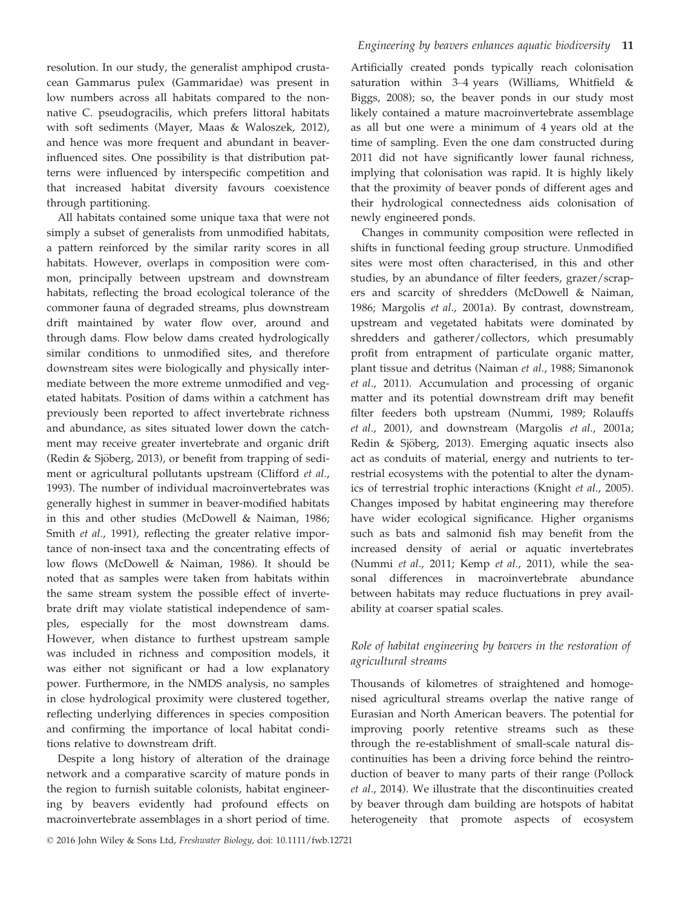resolution. In our study, the generalist amphipod crustacean Gammarus pulex (Gammaridae) was present in low numbers across all habitats compared to the nonnative C. pseudogracilis, which prefers littoral habitats with soft sediments (Mayer, Maas & Waloszek, 2012), and hence was more frequent and abundant in beaverinfluenced sites. One possibility is that distribution patterns were influenced by interspecific competition and that increased habitat diversity favours coexistence through partitioning.

All habitats contained some unique taxa that were not simply a subset of generalists from unmodified habitats, a pattern reinforced by the similar rarity scores in all habitats. However, overlaps in composition were common, principally between upstream and downstream habitats, reflecting the broad ecological tolerance of the commoner fauna of degraded streams, plus downstream drift maintained by water flow over, around and through dams. Flow below dams created hydrologically similar conditions to unmodified sites, and therefore downstream sites were biologically and physically intermediate between the more extreme unmodified and vegetated habitats. Position of dams within a catchment has previously been reported to affect invertebrate richness and abundance, as sites situated lower down the catchment may receive greater invertebrate and organic drift (Redin & Sjöberg, 2013), or benefit from trapping of sediment or agricultural pollutants upstream (Clifford et al., 1993). The number of individual macroinvertebrates was generally highest in summer in beaver-modified habitats in this and other studies (McDowell & Naiman, 1986; Smith et al., 1991), reflecting the greater relative importance of non-insect taxa and the concentrating effects of low flows (McDowell & Naiman, 1986). It should be noted that as samples were taken from habitats within the same stream system the possible effect of invertebrate drift may violate statistical independence of samples, especially for the most downstream dams. However, when distance to furthest upstream sample was included in richness and composition models, it was either not significant or had a low explanatory power. Furthermore, in the NMDS analysis, no samples in close hydrological proximity were clustered together, reflecting underlying differences in species composition and confirming the importance of local habitat conditions relative to downstream drift.

Despite a long history of alteration of the drainage network and a comparative scarcity of mature ponds in the region to furnish suitable colonists, habitat engineering by beavers evidently had profound effects on macroinvertebrate assemblages in a short period of time.

© 2016 John Wiley & Sons Ltd, Freshwater Biology, doi: 10.1111/fwb.12721

Artificially created ponds typically reach colonisation saturation within 3–4 years (Williams, Whitfield & Biggs, 2008); so, the beaver ponds in our study most likely contained a mature macroinvertebrate assemblage as all but one were a minimum of 4 years old at the time of sampling. Even the one dam constructed during 2011 did not have significantly lower faunal richness, implying that colonisation was rapid. It is highly likely that the proximity of beaver ponds of different ages and their hydrological connectedness aids colonisation of newly engineered ponds.

Changes in community composition were reflected in shifts in functional feeding group structure. Unmodified sites were most often characterised, in this and other studies, by an abundance of filter feeders, grazer/scrapers and scarcity of shredders (McDowell & Naiman, 1986; Margolis et al., 2001a). By contrast, downstream, upstream and vegetated habitats were dominated by shredders and gatherer/collectors, which presumably profit from entrapment of particulate organic matter, plant tissue and detritus (Naiman et al., 1988; Simanonok et al., 2011). Accumulation and processing of organic matter and its potential downstream drift may benefit filter feeders both upstream (Nummi, 1989; Rolauffs et al., 2001), and downstream (Margolis et al., 2001a; Redin & Sjöberg, 2013). Emerging aquatic insects also act as conduits of material, energy and nutrients to terrestrial ecosystems with the potential to alter the dynamics of terrestrial trophic interactions (Knight et al., 2005). Changes imposed by habitat engineering may therefore have wider ecological significance. Higher organisms such as bats and salmonid fish may benefit from the increased density of aerial or aquatic invertebrates (Nummi et al., 2011; Kemp et al., 2011), while the seasonal differences in macroinvertebrate abundance between habitats may reduce fluctuations in prey availability at coarser spatial scales.

# Role of habitat engineering by beavers in the restoration of agricultural streams

Thousands of kilometres of straightened and homogenised agricultural streams overlap the native range of Eurasian and North American beavers. The potential for improving poorly retentive streams such as these through the re-establishment of small-scale natural discontinuities has been a driving force behind the reintroduction of beaver to many parts of their range (Pollock et al., 2014). We illustrate that the discontinuities created by beaver through dam building are hotspots of habitat heterogeneity that promote aspects of ecosystem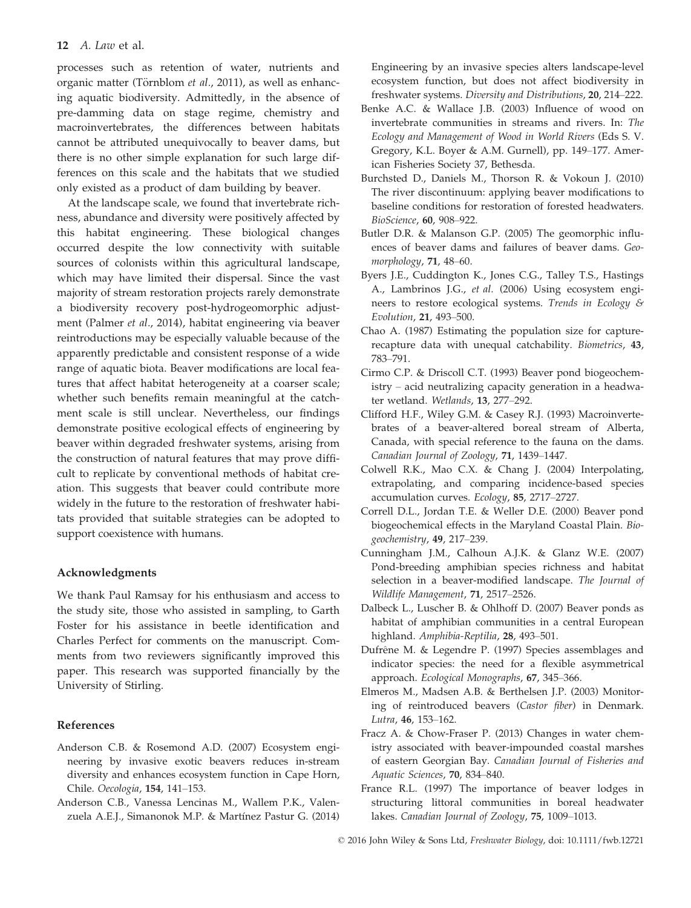processes such as retention of water, nutrients and organic matter (Törnblom et al., 2011), as well as enhancing aquatic biodiversity. Admittedly, in the absence of pre-damming data on stage regime, chemistry and macroinvertebrates, the differences between habitats cannot be attributed unequivocally to beaver dams, but there is no other simple explanation for such large differences on this scale and the habitats that we studied only existed as a product of dam building by beaver.

At the landscape scale, we found that invertebrate richness, abundance and diversity were positively affected by this habitat engineering. These biological changes occurred despite the low connectivity with suitable sources of colonists within this agricultural landscape, which may have limited their dispersal. Since the vast majority of stream restoration projects rarely demonstrate a biodiversity recovery post-hydrogeomorphic adjustment (Palmer et al., 2014), habitat engineering via beaver reintroductions may be especially valuable because of the apparently predictable and consistent response of a wide range of aquatic biota. Beaver modifications are local features that affect habitat heterogeneity at a coarser scale; whether such benefits remain meaningful at the catchment scale is still unclear. Nevertheless, our findings demonstrate positive ecological effects of engineering by beaver within degraded freshwater systems, arising from the construction of natural features that may prove difficult to replicate by conventional methods of habitat creation. This suggests that beaver could contribute more widely in the future to the restoration of freshwater habitats provided that suitable strategies can be adopted to support coexistence with humans.

# Acknowledgments

We thank Paul Ramsay for his enthusiasm and access to the study site, those who assisted in sampling, to Garth Foster for his assistance in beetle identification and Charles Perfect for comments on the manuscript. Comments from two reviewers significantly improved this paper. This research was supported financially by the University of Stirling.

# References

- Anderson C.B. & Rosemond A.D. (2007) Ecosystem engineering by invasive exotic beavers reduces in-stream diversity and enhances ecosystem function in Cape Horn, Chile. Oecologia, 154, 141–153.
- Anderson C.B., Vanessa Lencinas M., Wallem P.K., Valenzuela A.E.J., Simanonok M.P. & Martínez Pastur G. (2014)

Engineering by an invasive species alters landscape-level ecosystem function, but does not affect biodiversity in freshwater systems. Diversity and Distributions, 20, 214–222.

- Benke A.C. & Wallace J.B. (2003) Influence of wood on invertebrate communities in streams and rivers. In: The Ecology and Management of Wood in World Rivers (Eds S. V. Gregory, K.L. Boyer & A.M. Gurnell), pp. 149–177. American Fisheries Society 37, Bethesda.
- Burchsted D., Daniels M., Thorson R. & Vokoun J. (2010) The river discontinuum: applying beaver modifications to baseline conditions for restoration of forested headwaters. BioScience, 60, 908–922.
- Butler D.R. & Malanson G.P. (2005) The geomorphic influences of beaver dams and failures of beaver dams. Geomorphology, 71, 48–60.
- Byers J.E., Cuddington K., Jones C.G., Talley T.S., Hastings A., Lambrinos J.G., et al. (2006) Using ecosystem engineers to restore ecological systems. Trends in Ecology & Evolution, 21, 493–500.
- Chao A. (1987) Estimating the population size for capturerecapture data with unequal catchability. Biometrics, 43, 783–791.
- Cirmo C.P. & Driscoll C.T. (1993) Beaver pond biogeochemistry – acid neutralizing capacity generation in a headwater wetland. Wetlands, 13, 277–292.
- Clifford H.F., Wiley G.M. & Casey R.J. (1993) Macroinvertebrates of a beaver-altered boreal stream of Alberta, Canada, with special reference to the fauna on the dams. Canadian Journal of Zoology, 71, 1439–1447.
- Colwell R.K., Mao C.X. & Chang J. (2004) Interpolating, extrapolating, and comparing incidence-based species accumulation curves. Ecology, 85, 2717–2727.
- Correll D.L., Jordan T.E. & Weller D.E. (2000) Beaver pond biogeochemical effects in the Maryland Coastal Plain. Biogeochemistry, 49, 217–239.
- Cunningham J.M., Calhoun A.J.K. & Glanz W.E. (2007) Pond-breeding amphibian species richness and habitat selection in a beaver-modified landscape. The Journal of Wildlife Management, 71, 2517–2526.
- Dalbeck L., Luscher B. & Ohlhoff D. (2007) Beaver ponds as habitat of amphibian communities in a central European highland. Amphibia-Reptilia, 28, 493–501.
- Dufrêne M. & Legendre P. (1997) Species assemblages and indicator species: the need for a flexible asymmetrical approach. Ecological Monographs, 67, 345–366.
- Elmeros M., Madsen A.B. & Berthelsen J.P. (2003) Monitoring of reintroduced beavers (Castor fiber) in Denmark. Lutra, 46, 153–162.
- Fracz A. & Chow-Fraser P. (2013) Changes in water chemistry associated with beaver-impounded coastal marshes of eastern Georgian Bay. Canadian Journal of Fisheries and Aquatic Sciences, 70, 834–840.
- France R.L. (1997) The importance of beaver lodges in structuring littoral communities in boreal headwater lakes. Canadian Journal of Zoology, 75, 1009-1013.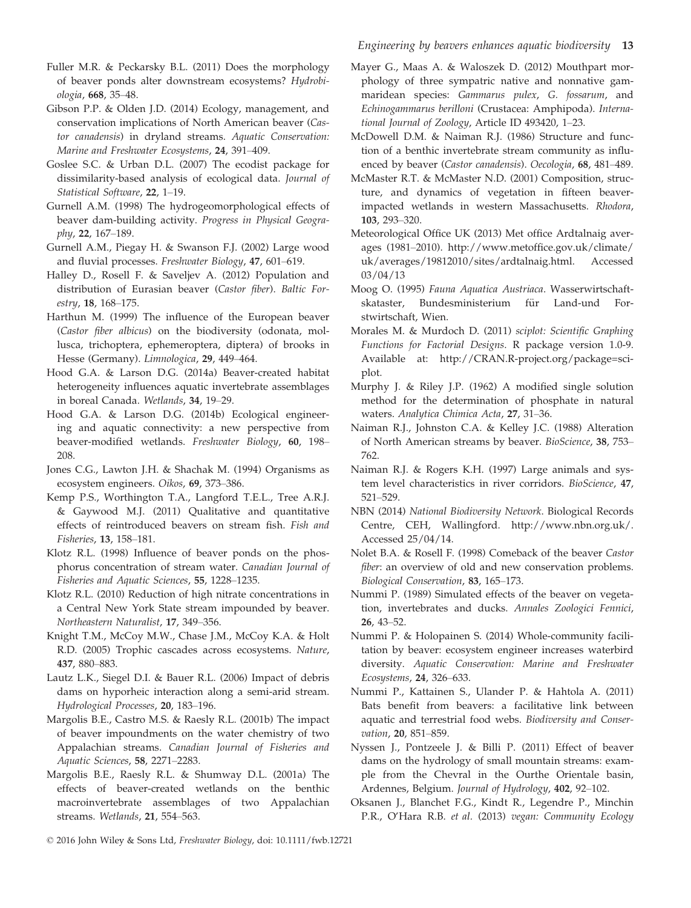Fuller M.R. & Peckarsky B.L. (2011) Does the morphology of beaver ponds alter downstream ecosystems? Hydrobiologia, 668, 35–48.

Gibson P.P. & Olden J.D. (2014) Ecology, management, and conservation implications of North American beaver (Castor canadensis) in dryland streams. Aquatic Conservation: Marine and Freshwater Ecosystems, 24, 391–409.

Goslee S.C. & Urban D.L. (2007) The ecodist package for dissimilarity-based analysis of ecological data. Journal of Statistical Software, 22, 1–19.

Gurnell A.M. (1998) The hydrogeomorphological effects of beaver dam-building activity. Progress in Physical Geography, 22, 167–189.

Gurnell A.M., Piegay H. & Swanson F.J. (2002) Large wood and fluvial processes. Freshwater Biology, 47, 601–619.

Halley D., Rosell F. & Saveljev A. (2012) Population and distribution of Eurasian beaver (Castor fiber). Baltic Forestry, 18, 168–175.

Harthun M. (1999) The influence of the European beaver (Castor fiber albicus) on the biodiversity (odonata, mollusca, trichoptera, ephemeroptera, diptera) of brooks in Hesse (Germany). Limnologica, 29, 449–464.

Hood G.A. & Larson D.G. (2014a) Beaver-created habitat heterogeneity influences aquatic invertebrate assemblages in boreal Canada. Wetlands, 34, 19–29.

Hood G.A. & Larson D.G. (2014b) Ecological engineering and aquatic connectivity: a new perspective from beaver-modified wetlands. Freshwater Biology, 60, 198– 208.

Jones C.G., Lawton J.H. & Shachak M. (1994) Organisms as ecosystem engineers. Oikos, 69, 373–386.

Kemp P.S., Worthington T.A., Langford T.E.L., Tree A.R.J. & Gaywood M.J. (2011) Qualitative and quantitative effects of reintroduced beavers on stream fish. Fish and Fisheries, 13, 158–181.

Klotz R.L. (1998) Influence of beaver ponds on the phosphorus concentration of stream water. Canadian Journal of Fisheries and Aquatic Sciences, 55, 1228–1235.

Klotz R.L. (2010) Reduction of high nitrate concentrations in a Central New York State stream impounded by beaver. Northeastern Naturalist, 17, 349–356.

Knight T.M., McCoy M.W., Chase J.M., McCoy K.A. & Holt R.D. (2005) Trophic cascades across ecosystems. Nature, 437, 880–883.

Lautz L.K., Siegel D.I. & Bauer R.L. (2006) Impact of debris dams on hyporheic interaction along a semi-arid stream. Hydrological Processes, 20, 183–196.

Margolis B.E., Castro M.S. & Raesly R.L. (2001b) The impact of beaver impoundments on the water chemistry of two Appalachian streams. Canadian Journal of Fisheries and Aquatic Sciences, 58, 2271–2283.

Margolis B.E., Raesly R.L. & Shumway D.L. (2001a) The effects of beaver-created wetlands on the benthic macroinvertebrate assemblages of two Appalachian streams. Wetlands, 21, 554–563.

Mayer G., Maas A. & Waloszek D. (2012) Mouthpart morphology of three sympatric native and nonnative gammaridean species: Gammarus pulex, G. fossarum, and Echinogammarus berilloni (Crustacea: Amphipoda). International Journal of Zoology, Article ID 493420, 1–23.

McDowell D.M. & Naiman R.J. (1986) Structure and function of a benthic invertebrate stream community as influenced by beaver (Castor canadensis). Oecologia, 68, 481–489.

McMaster R.T. & McMaster N.D. (2001) Composition, structure, and dynamics of vegetation in fifteen beaverimpacted wetlands in western Massachusetts. Rhodora, 103, 293–320.

Meteorological Office UK (2013) Met office Ardtalnaig averages (1981–2010). [http://www.metoffice.gov.uk/climate/](http://www.metoffice.gov.uk/climate/uk/averages/19812010/sites/ardtalnaig.html) [uk/averages/19812010/sites/ardtalnaig.html](http://www.metoffice.gov.uk/climate/uk/averages/19812010/sites/ardtalnaig.html). Accessed 03/04/13

Moog O. (1995) Fauna Aquatica Austriaca. Wasserwirtschaftskataster, Bundesministerium für Land-und Forstwirtschaft, Wien.

Morales M. & Murdoch D. (2011) sciplot: Scientific Graphing Functions for Factorial Designs. R package version 1.0-9. Available at: [http://CRAN.R-project.org/package=sci](http://CRAN.R-project.org/package=sciplot)[plot](http://CRAN.R-project.org/package=sciplot).

Murphy J. & Riley J.P. (1962) A modified single solution method for the determination of phosphate in natural waters. Analytica Chimica Acta, 27, 31–36.

Naiman R.J., Johnston C.A. & Kelley J.C. (1988) Alteration of North American streams by beaver. BioScience, 38, 753– 762.

Naiman R.J. & Rogers K.H. (1997) Large animals and system level characteristics in river corridors. BioScience, 47, 521–529.

NBN (2014) National Biodiversity Network. Biological Records Centre, CEH, Wallingford. [http://www.nbn.org.uk/.](http://www.nbn.org.uk/) Accessed 25/04/14.

Nolet B.A. & Rosell F. (1998) Comeback of the beaver Castor fiber: an overview of old and new conservation problems. Biological Conservation, 83, 165–173.

Nummi P. (1989) Simulated effects of the beaver on vegetation, invertebrates and ducks. Annales Zoologici Fennici, 26, 43–52.

Nummi P. & Holopainen S. (2014) Whole-community facilitation by beaver: ecosystem engineer increases waterbird diversity. Aquatic Conservation: Marine and Freshwater Ecosystems, 24, 326–633.

Nummi P., Kattainen S., Ulander P. & Hahtola A. (2011) Bats benefit from beavers: a facilitative link between aquatic and terrestrial food webs. Biodiversity and Conservation, 20, 851–859.

Nyssen J., Pontzeele J. & Billi P. (2011) Effect of beaver dams on the hydrology of small mountain streams: example from the Chevral in the Ourthe Orientale basin, Ardennes, Belgium. Journal of Hydrology, 402, 92–102.

Oksanen J., Blanchet F.G., Kindt R., Legendre P., Minchin P.R., O'Hara R.B. et al. (2013) vegan: Community Ecology